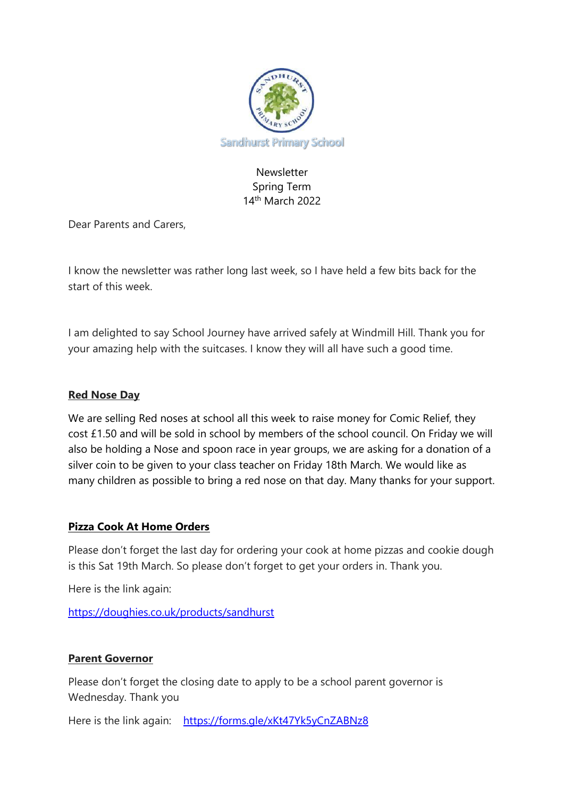

# Newsletter Spring Term 14th March 2022

Dear Parents and Carers,

I know the newsletter was rather long last week, so I have held a few bits back for the start of this week.

I am delighted to say School Journey have arrived safely at Windmill Hill. Thank you for your amazing help with the suitcases. I know they will all have such a good time.

### **Red Nose Day**

We are selling Red noses at school all this week to raise money for Comic Relief, they cost £1.50 and will be sold in school by members of the school council. On Friday we will also be holding a Nose and spoon race in year groups, we are asking for a donation of a silver coin to be given to your class teacher on Friday 18th March. We would like as many children as possible to bring a red nose on that day. Many thanks for your support.

## **Pizza Cook At Home Orders**

Please don't forget the last day for ordering your cook at home pizzas and cookie dough is this Sat 19th March. So please don't forget to get your orders in. Thank you.

Here is the link again:

<https://doughies.co.uk/products/sandhurst>

## **Parent Governor**

Please don't forget the closing date to apply to be a school parent governor is Wednesday. Thank you

Here is the link again: <https://forms.gle/xKt47Yk5yCnZABNz8>